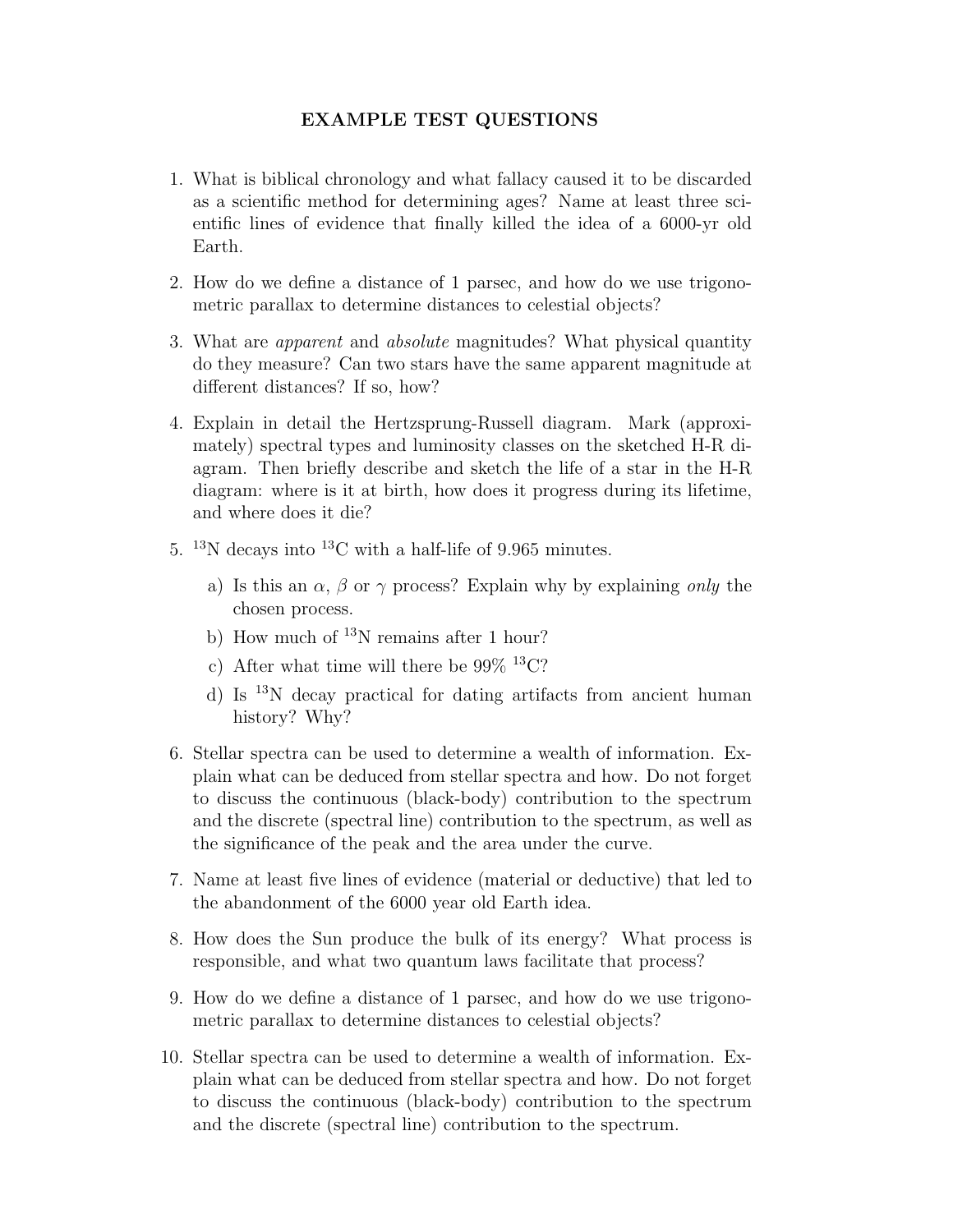## EXAMPLE TEST QUESTIONS

- 1. What is biblical chronology and what fallacy caused it to be discarded as a scientific method for determining ages? Name at least three scientific lines of evidence that finally killed the idea of a 6000-yr old Earth.
- 2. How do we define a distance of 1 parsec, and how do we use trigonometric parallax to determine distances to celestial objects?
- 3. What are apparent and absolute magnitudes? What physical quantity do they measure? Can two stars have the same apparent magnitude at different distances? If so, how?
- 4. Explain in detail the Hertzsprung-Russell diagram. Mark (approximately) spectral types and luminosity classes on the sketched H-R diagram. Then briefly describe and sketch the life of a star in the H-R diagram: where is it at birth, how does it progress during its lifetime, and where does it die?
- 5. <sup>13</sup>N decays into <sup>13</sup>C with a half-life of 9.965 minutes.
	- a) Is this an  $\alpha$ ,  $\beta$  or  $\gamma$  process? Explain why by explaining only the chosen process.
	- b) How much of  $^{13}N$  remains after 1 hour?
	- c) After what time will there be  $99\%$  <sup>13</sup>C?
	- d) Is <sup>13</sup>N decay practical for dating artifacts from ancient human history? Why?
- 6. Stellar spectra can be used to determine a wealth of information. Explain what can be deduced from stellar spectra and how. Do not forget to discuss the continuous (black-body) contribution to the spectrum and the discrete (spectral line) contribution to the spectrum, as well as the significance of the peak and the area under the curve.
- 7. Name at least five lines of evidence (material or deductive) that led to the abandonment of the 6000 year old Earth idea.
- 8. How does the Sun produce the bulk of its energy? What process is responsible, and what two quantum laws facilitate that process?
- 9. How do we define a distance of 1 parsec, and how do we use trigonometric parallax to determine distances to celestial objects?
- 10. Stellar spectra can be used to determine a wealth of information. Explain what can be deduced from stellar spectra and how. Do not forget to discuss the continuous (black-body) contribution to the spectrum and the discrete (spectral line) contribution to the spectrum.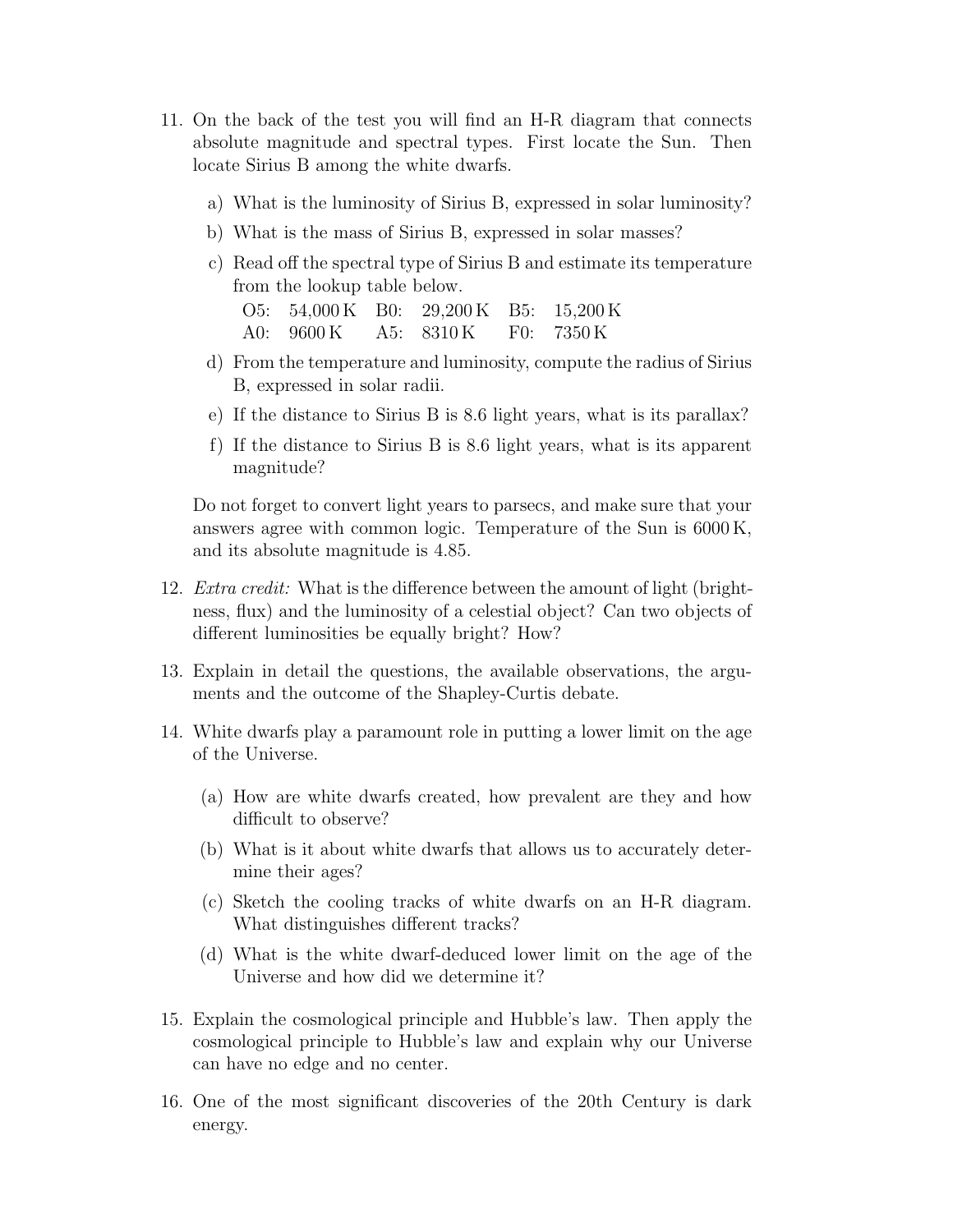- 11. On the back of the test you will find an H-R diagram that connects absolute magnitude and spectral types. First locate the Sun. Then locate Sirius B among the white dwarfs.
	- a) What is the luminosity of Sirius B, expressed in solar luminosity?
	- b) What is the mass of Sirius B, expressed in solar masses?
	- c) Read off the spectral type of Sirius B and estimate its temperature from the lookup table below.

O5: 54,000 K B0: 29,200 K B5: 15,200 K A0: 9600 K A5: 8310 K F0: 7350 K

- d) From the temperature and luminosity, compute the radius of Sirius B, expressed in solar radii.
- e) If the distance to Sirius B is 8.6 light years, what is its parallax?
- f) If the distance to Sirius B is 8.6 light years, what is its apparent magnitude?

Do not forget to convert light years to parsecs, and make sure that your answers agree with common logic. Temperature of the Sun is 6000 K, and its absolute magnitude is 4.85.

- 12. Extra credit: What is the difference between the amount of light (brightness, flux) and the luminosity of a celestial object? Can two objects of different luminosities be equally bright? How?
- 13. Explain in detail the questions, the available observations, the arguments and the outcome of the Shapley-Curtis debate.
- 14. White dwarfs play a paramount role in putting a lower limit on the age of the Universe.
	- (a) How are white dwarfs created, how prevalent are they and how difficult to observe?
	- (b) What is it about white dwarfs that allows us to accurately determine their ages?
	- (c) Sketch the cooling tracks of white dwarfs on an H-R diagram. What distinguishes different tracks?
	- (d) What is the white dwarf-deduced lower limit on the age of the Universe and how did we determine it?
- 15. Explain the cosmological principle and Hubble's law. Then apply the cosmological principle to Hubble's law and explain why our Universe can have no edge and no center.
- 16. One of the most significant discoveries of the 20th Century is dark energy.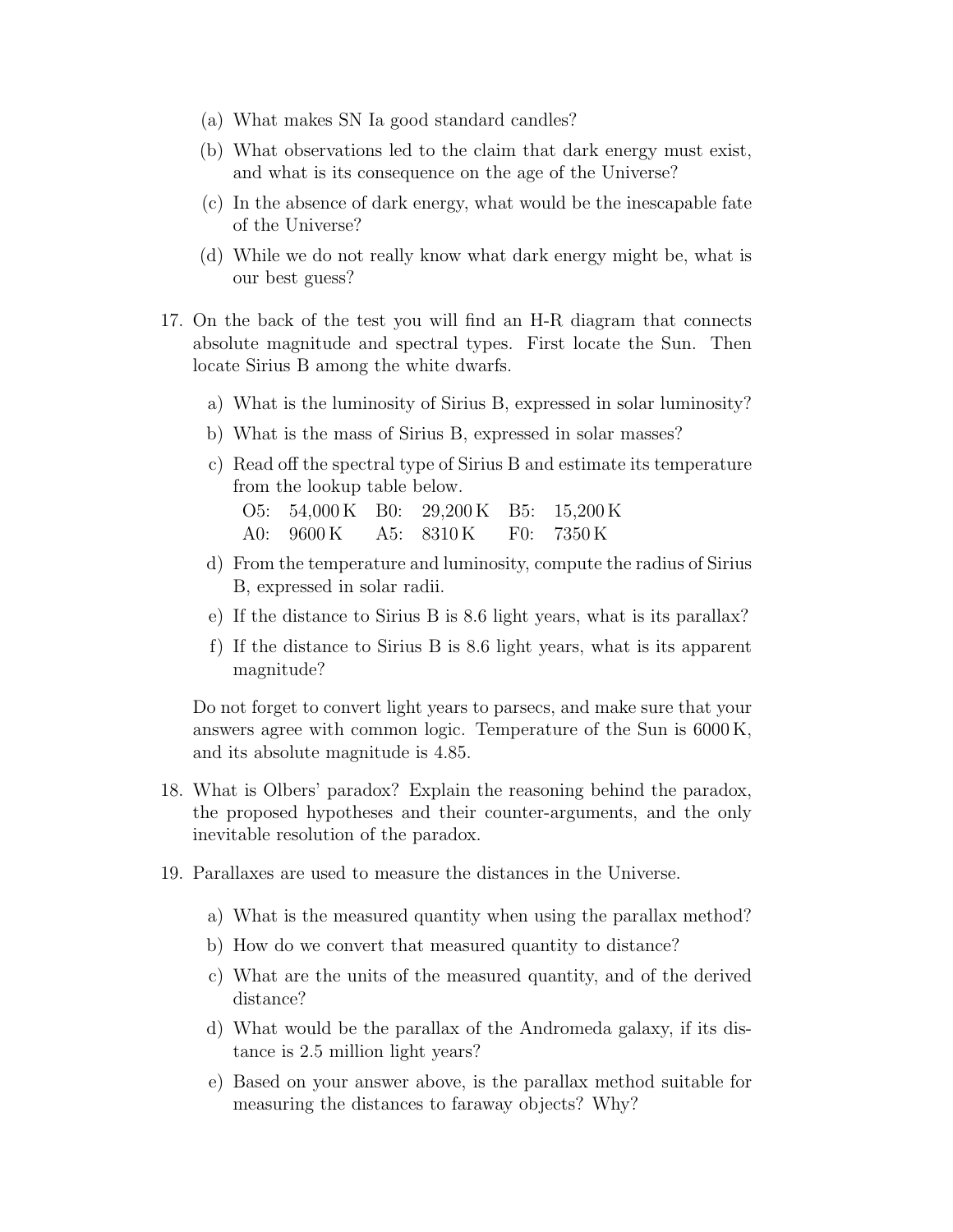- (a) What makes SN Ia good standard candles?
- (b) What observations led to the claim that dark energy must exist, and what is its consequence on the age of the Universe?
- (c) In the absence of dark energy, what would be the inescapable fate of the Universe?
- (d) While we do not really know what dark energy might be, what is our best guess?
- 17. On the back of the test you will find an H-R diagram that connects absolute magnitude and spectral types. First locate the Sun. Then locate Sirius B among the white dwarfs.
	- a) What is the luminosity of Sirius B, expressed in solar luminosity?
	- b) What is the mass of Sirius B, expressed in solar masses?
	- c) Read off the spectral type of Sirius B and estimate its temperature from the lookup table below. O5: 54,000 K B0: 29,200 K B5: 15,200 K
		- A0: 9600 K A5: 8310 K F0: 7350 K
	- d) From the temperature and luminosity, compute the radius of Sirius B, expressed in solar radii.
	- e) If the distance to Sirius B is 8.6 light years, what is its parallax?
	- f) If the distance to Sirius B is 8.6 light years, what is its apparent magnitude?

Do not forget to convert light years to parsecs, and make sure that your answers agree with common logic. Temperature of the Sun is 6000 K, and its absolute magnitude is 4.85.

- 18. What is Olbers' paradox? Explain the reasoning behind the paradox, the proposed hypotheses and their counter-arguments, and the only inevitable resolution of the paradox.
- 19. Parallaxes are used to measure the distances in the Universe.
	- a) What is the measured quantity when using the parallax method?
	- b) How do we convert that measured quantity to distance?
	- c) What are the units of the measured quantity, and of the derived distance?
	- d) What would be the parallax of the Andromeda galaxy, if its distance is 2.5 million light years?
	- e) Based on your answer above, is the parallax method suitable for measuring the distances to faraway objects? Why?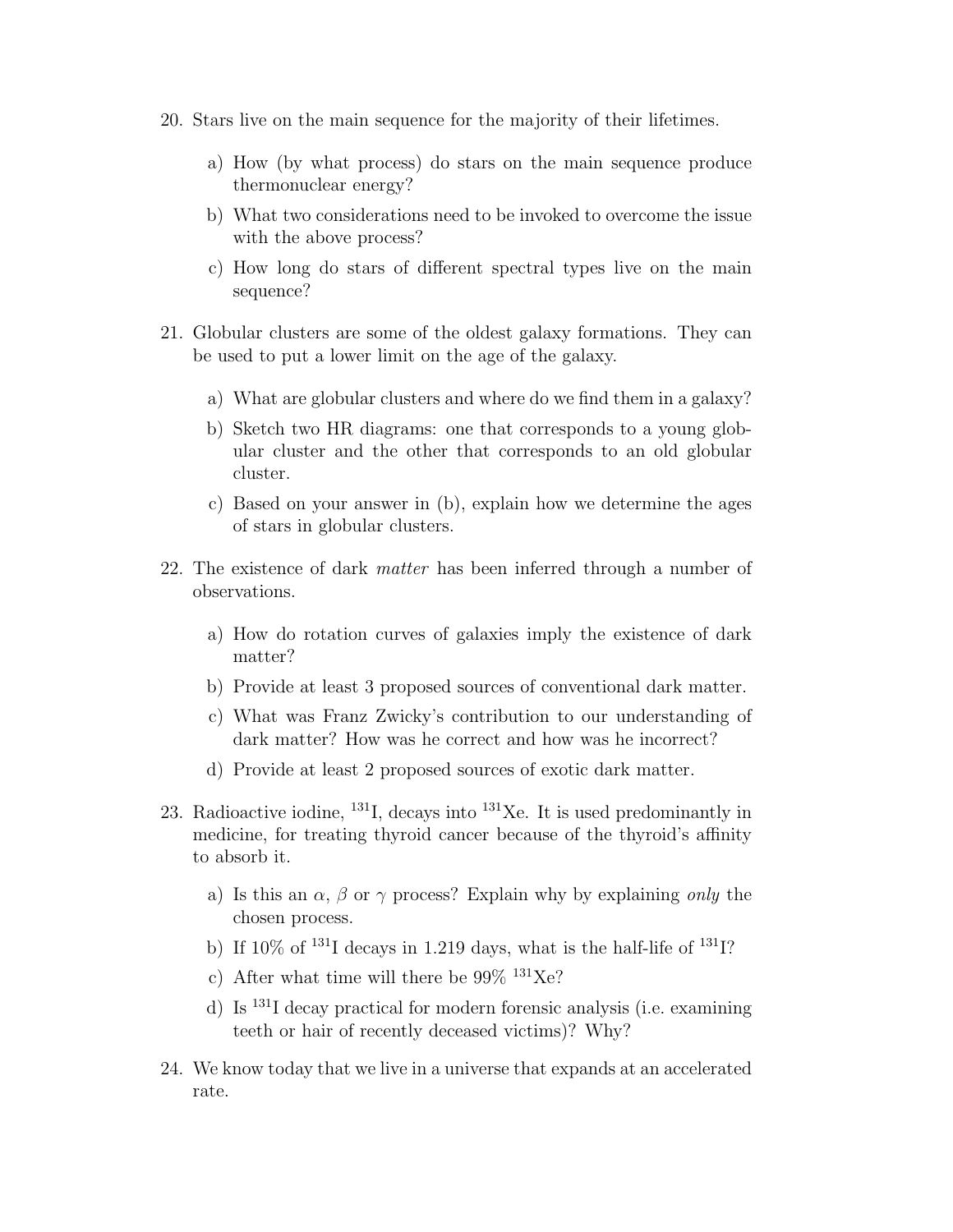- 20. Stars live on the main sequence for the majority of their lifetimes.
	- a) How (by what process) do stars on the main sequence produce thermonuclear energy?
	- b) What two considerations need to be invoked to overcome the issue with the above process?
	- c) How long do stars of different spectral types live on the main sequence?
- 21. Globular clusters are some of the oldest galaxy formations. They can be used to put a lower limit on the age of the galaxy.
	- a) What are globular clusters and where do we find them in a galaxy?
	- b) Sketch two HR diagrams: one that corresponds to a young globular cluster and the other that corresponds to an old globular cluster.
	- c) Based on your answer in (b), explain how we determine the ages of stars in globular clusters.
- 22. The existence of dark matter has been inferred through a number of observations.
	- a) How do rotation curves of galaxies imply the existence of dark matter?
	- b) Provide at least 3 proposed sources of conventional dark matter.
	- c) What was Franz Zwicky's contribution to our understanding of dark matter? How was he correct and how was he incorrect?
	- d) Provide at least 2 proposed sources of exotic dark matter.
- 23. Radioactive iodine,  $^{131}$ I, decays into  $^{131}$ Xe. It is used predominantly in medicine, for treating thyroid cancer because of the thyroid's affinity to absorb it.
	- a) Is this an  $\alpha$ ,  $\beta$  or  $\gamma$  process? Explaint why by explaining only the chosen process.
	- b) If  $10\%$  of  $^{131}$ I decays in 1.219 days, what is the half-life of  $^{131}$ I?
	- c) After what time will there be  $99\%$  <sup>131</sup>Xe?
	- d) Is <sup>131</sup>I decay practical for modern forensic analysis (i.e. examining teeth or hair of recently deceased victims)? Why?
- 24. We know today that we live in a universe that expands at an accelerated rate.